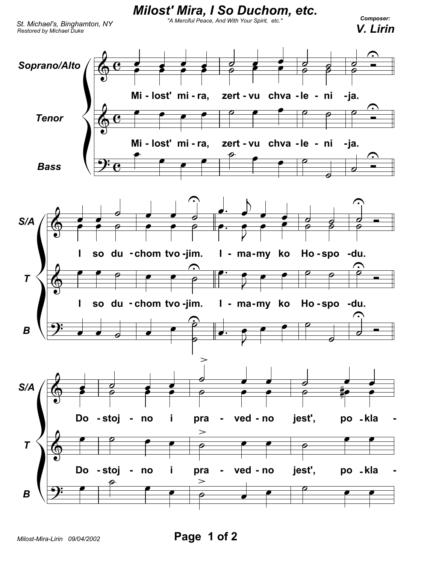

Milost-Mira-Lirin 09/04/2002

Page 1 of 2